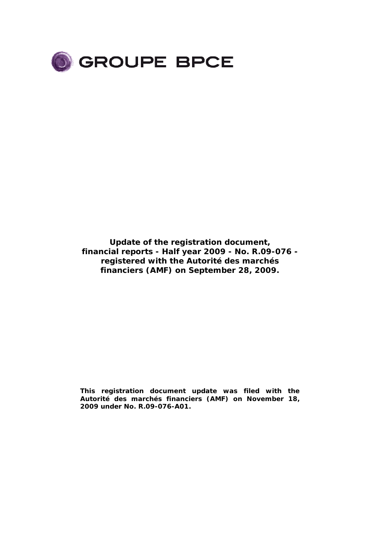

**Update of the registration document, financial reports - Half year 2009 - No. R.09-076 registered with** *the Autorité des marchés financiers (AMF)* **on September 28, 2009.** 

**This registration document update was filed with the**  *Autorité des marchés financiers (AMF)* **on November 18, 2009 under No. R.09-076-A01.**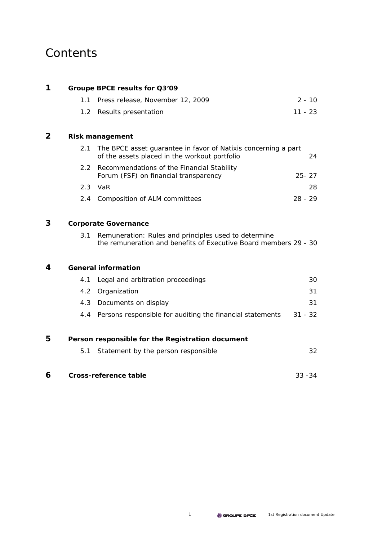# **Contents**

| 1 |                  | Groupe BPCE results for Q3'09                                                                                            |           |
|---|------------------|--------------------------------------------------------------------------------------------------------------------------|-----------|
|   | 1.1              | Press release, November 12, 2009                                                                                         | $2 - 10$  |
|   | 1.2 <sub>1</sub> | Results presentation                                                                                                     | $11 - 23$ |
| 2 |                  | <b>Risk management</b>                                                                                                   |           |
|   | 2.1              | The BPCE asset guarantee in favor of Natixis concerning a part<br>of the assets placed in the workout portfolio          | 24        |
|   | $2.2^{\circ}$    | Recommendations of the Financial Stability<br>Forum (FSF) on financial transparency                                      | $25 - 27$ |
|   | 2.3              | VaR                                                                                                                      | 28.       |
|   | $2.4^{\circ}$    | Composition of ALM committees                                                                                            | $28 - 29$ |
| 3 |                  | <b>Corporate Governance</b>                                                                                              |           |
|   | 3.1              | Remuneration: Rules and principles used to determine<br>the remuneration and benefits of Executive Board members 29 - 30 |           |
| 4 |                  | <b>General information</b>                                                                                               |           |
|   | 4.1              | Legal and arbitration proceedings                                                                                        | 30        |
|   | 4.2              | Organization                                                                                                             | 31        |
|   | 4.3              | Documents on display                                                                                                     | 31        |
|   | 4.4              | Persons responsible for auditing the financial statements                                                                | $31 - 32$ |
| 5 |                  | Person responsible for the Registration document                                                                         |           |
|   | 5.1              | Statement by the person responsible                                                                                      | 32        |
| 6 |                  | <b>Cross-reference table</b>                                                                                             | $33 - 34$ |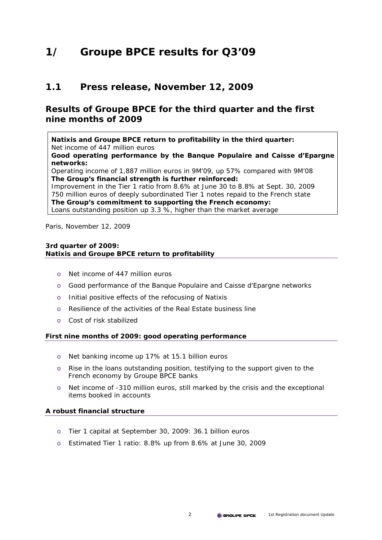# **1/ Groupe BPCE results for Q3'09**

# **1.1 Press release, November 12, 2009**

# **Results of Groupe BPCE for the third quarter and the first nine months of 2009**

**Natixis and Groupe BPCE return to profitability in the third quarter:**  Net income of 447 million euros

**Good operating performance by the Banque Populaire and Caisse d'Epargne networks:**

Operating income of 1,887 million euros in 9M'09, up 57% compared with 9M'08 **The Group's financial strength is further reinforced:** 

Improvement in the Tier 1 ratio from 8.6% at June 30 to 8.8% at Sept. 30, 2009 750 million euros of deeply subordinated Tier 1 notes repaid to the French state **The Group's commitment to supporting the French economy:** 

Loans outstanding position up 3.3 %, higher than the market average

Paris, November 12, 2009

## **3rd quarter of 2009: Natixis and Groupe BPCE return to profitability**

- o Net income of 447 million euros
- o Good performance of the Banque Populaire and Caisse d'Epargne networks
- o Initial positive effects of the refocusing of Natixis
- o Resilience of the activities of the Real Estate business line
- o Cost of risk stabilized

## **First nine months of 2009: good operating performance**

- o Net banking income up 17% at 15.1 billion euros
- o Rise in the loans outstanding position, testifying to the support given to the French economy by Groupe BPCE banks
- o Net income of -310 million euros, still marked by the crisis and the exceptional items booked in accounts

## **A robust financial structure**

- o Tier 1 capital at September 30, 2009: 36.1 billion euros
- o Estimated Tier 1 ratio: 8.8% up from 8.6% at June 30, 2009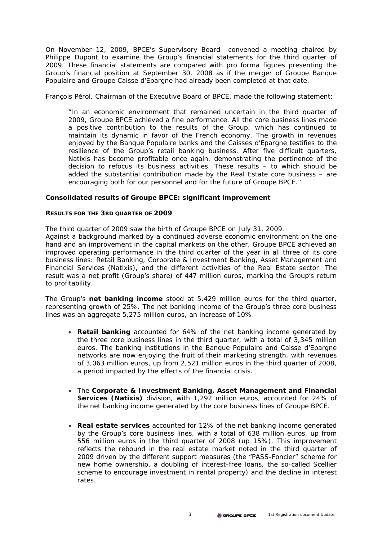On November 12, 2009, BPCE's Supervisory Board convened a meeting chaired by Philippe Dupont to examine the Group's financial statements for the third quarter of 2009. These financial statements are compared with pro forma figures presenting the Group's financial position at September 30, 2008 as if the merger of Groupe Banque Populaire and Groupe Caisse d'Epargne had already been completed at that date.

François Pérol, Chairman of the Executive Board of BPCE, made the following statement:

*"In an economic environment that remained uncertain in the third quarter of 2009, Groupe BPCE achieved a fine performance. All the core business lines made a positive contribution to the results of the Group, which has continued to maintain its dynamic in favor of the French economy. The growth in revenues enjoyed by the Banque Populaire banks and the Caisses d'Epargne testifies to the resilience of the Group's retail banking business. After five difficult quarters, Natixis has become profitable once again, demonstrating the pertinence of the decision to refocus its business activities. These results – to which should be added the substantial contribution made by the Real Estate core business – are encouraging both for our personnel and for the future of Groupe BPCE."* 

## **Consolidated results of Groupe BPCE: significant improvement**

## **RESULTS FOR THE 3RD QUARTER OF 2009**

The third quarter of 2009 saw the birth of Groupe BPCE on July 31, 2009.

Against a background marked by a continued adverse economic environment on the one hand and an improvement in the capital markets on the other, Groupe BPCE achieved an improved operating performance in the third quarter of the year in all three of its core business lines: Retail Banking, Corporate & Investment Banking, Asset Management and Financial Services (Natixis), and the different activities of the Real Estate sector. The result was a net profit (Group's share) of 447 million euros, marking the Group's return to profitability.

The Group's **net banking income** stood at 5,429 million euros for the third quarter, representing growth of 25%. The net banking income of the Group's three core business lines was an aggregate 5,275 million euros, an increase of 10%.

- **Retail banking** accounted for 64% of the net banking income generated by the three core business lines in the third quarter, with a total of 3,345 million euros. The banking institutions in the Banque Populaire and Caisse d'Epargne networks are now enjoying the fruit of their marketing strength, with revenues of 3,063 million euros, up from 2,521 million euros in the third quarter of 2008, a period impacted by the effects of the financial crisis.
- The **Corporate & Investment Banking, Asset Management and Financial Services (Natixis)** division, with 1,292 million euros, accounted for 24% of the net banking income generated by the core business lines of Groupe BPCE.
- **Real estate services** accounted for 12% of the net banking income generated by the Group's core business lines, with a total of 638 million euros, up from 556 million euros in the third quarter of 2008 (up 15%). This improvement reflects the rebound in the real estate market noted in the third quarter of 2009 driven by the different support measures (the "PASS-Foncier" scheme for new home ownership, a doubling of interest-free loans, the so-called Scellier scheme to encourage investment in rental property) and the decline in interest rates.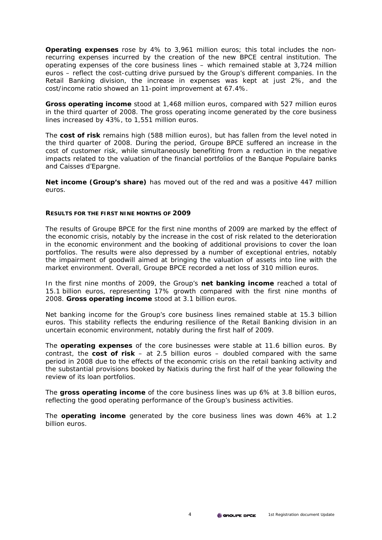**Operating expenses** rose by 4% to 3,961 million euros; this total includes the nonrecurring expenses incurred by the creation of the new BPCE central institution. The operating expenses of the core business lines – which remained stable at 3,724 million euros – reflect the cost-cutting drive pursued by the Group's different companies. In the Retail Banking division, the increase in expenses was kept at just 2%, and the cost/income ratio showed an 11-point improvement at 67.4%.

**Gross operating income** stood at 1,468 million euros, compared with 527 million euros in the third quarter of 2008. The gross operating income generated by the core business lines increased by 43%, to 1,551 million euros.

The **cost of risk** remains high (588 million euros), but has fallen from the level noted in the third quarter of 2008. During the period, Groupe BPCE suffered an increase in the cost of customer risk, while simultaneously benefiting from a reduction in the negative impacts related to the valuation of the financial portfolios of the Banque Populaire banks and Caisses d'Epargne.

**Net income (Group's share)** has moved out of the red and was a positive 447 million euros.

#### **RESULTS FOR THE FIRST NINE MONTHS OF 2009**

The results of Groupe BPCE for the first nine months of 2009 are marked by the effect of the economic crisis, notably by the increase in the cost of risk related to the deterioration in the economic environment and the booking of additional provisions to cover the loan portfolios. The results were also depressed by a number of exceptional entries, notably the impairment of goodwill aimed at bringing the valuation of assets into line with the market environment. Overall, Groupe BPCE recorded a net loss of 310 million euros.

In the first nine months of 2009, the Group's **net banking income** reached a total of 15.1 billion euros, representing 17% growth compared with the first nine months of 2008. **Gross operating income** stood at 3.1 billion euros.

Net banking income for the Group's core business lines remained stable at 15.3 billion euros. This stability reflects the enduring resilience of the Retail Banking division in an uncertain economic environment, notably during the first half of 2009.

The **operating expenses** of the core businesses were stable at 11.6 billion euros. By contrast, the **cost of risk** – at 2.5 billion euros – doubled compared with the same period in 2008 due to the effects of the economic crisis on the retail banking activity and the substantial provisions booked by Natixis during the first half of the year following the review of its loan portfolios.

The **gross operating income** of the core business lines was up 6% at 3.8 billion euros, reflecting the good operating performance of the Group's business activities.

The **operating income** generated by the core business lines was down 46% at 1.2 billion euros.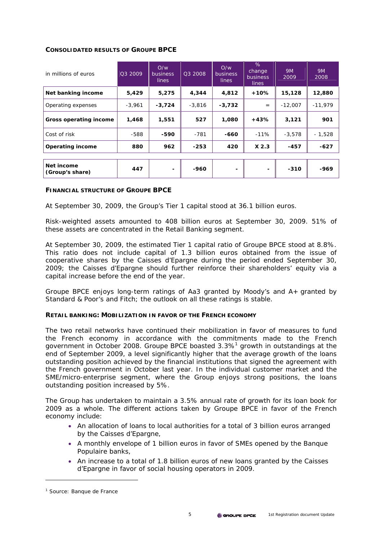## **CONSOLIDATED RESULTS OF GROUPE BPCE**

| in millions of euros          | Q3 2009  | O/w<br><b>business</b><br><b>lines</b> | 03 2008  | O/W<br>business<br>lines | %<br>change<br><b>business</b><br>lines | <i><b>9M</b></i><br>2009 | <i>9M</i><br>2008 |
|-------------------------------|----------|----------------------------------------|----------|--------------------------|-----------------------------------------|--------------------------|-------------------|
| Net banking income            | 5,429    | 5,275                                  | 4,344    | 4,812                    | +10%                                    | 15,128                   | 12,880            |
| Operating expenses            | $-3,961$ | $-3,724$                               | $-3,816$ | $-3,732$                 | $=$                                     | $-12,007$                | $-11,979$         |
| Gross operating income        | 1,468    | 1,551                                  | 527      | 1,080                    | $+43%$                                  | 3,121                    | 901               |
| Cost of risk                  | $-588$   | -590                                   | $-781$   | -660                     | $-11%$                                  | $-3,578$                 | - 1,528           |
| <b>Operating income</b>       | 880      | 962                                    | $-253$   | 420                      | $X$ 2.3                                 | $-457$                   | $-627$            |
|                               |          |                                        |          |                          |                                         |                          |                   |
| Net income<br>(Group's share) | 447      |                                        | -960     |                          |                                         | $-310$                   | -969              |

## **FINANCIAL STRUCTURE OF GROUPE BPCE**

At September 30, 2009, the Group's Tier 1 capital stood at 36.1 billion euros.

Risk-weighted assets amounted to 408 billion euros at September 30, 2009. 51% of these assets are concentrated in the Retail Banking segment.

At September 30, 2009, the estimated Tier 1 capital ratio of Groupe BPCE stood at 8.8%. This ratio does not include capital of 1.3 billion euros obtained from the issue of cooperative shares by the Caisses d'Epargne during the period ended September 30, 2009; the Caisses d'Epargne should further reinforce their shareholders' equity via a capital increase before the end of the year.

Groupe BPCE enjoys long-term ratings of Aa3 granted by Moody's and A+ granted by Standard & Poor's and Fitch; the outlook on all these ratings is stable.

#### **RETAIL BANKING: MOBILIZATION IN FAVOR OF THE FRENCH ECONOMY**

The two retail networks have continued their mobilization in favor of measures to fund the French economy in accordance with the commitments made to the French government in October 2008. Groupe BPCE boasted 3.3%<sup>1</sup> growth in outstandings at the end of September 2009, a level significantly higher that the average growth of the loans outstanding position achieved by the financial institutions that signed the agreement with the French government in October last year. In the individual customer market and the SME/micro-enterprise segment, where the Group enjoys strong positions, the loans outstanding position increased by 5%.

The Group has undertaken to maintain a 3.5% annual rate of growth for its loan book for 2009 as a whole. The different actions taken by Groupe BPCE in favor of the French economy include:

- An allocation of loans to local authorities for a total of 3 billion euros arranged by the Caisses d'Epargne,
- A monthly envelope of 1 billion euros in favor of SMEs opened by the Banque Populaire banks,
- An increase to a total of 1.8 billion euros of new loans granted by the Caisses d'Epargne in favor of social housing operators in 2009.

 $\overline{a}$ 

<sup>&</sup>lt;sup>1</sup> Source: Banque de France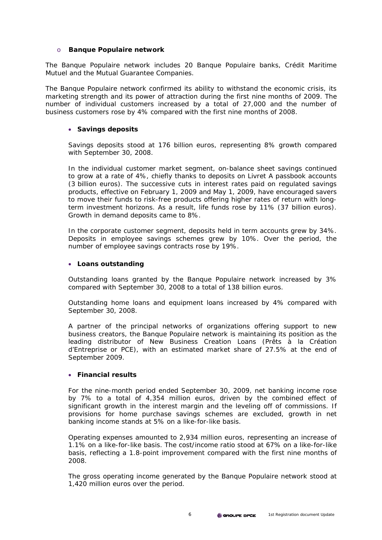## o **Banque Populaire network**

*The Banque Populaire network includes 20 Banque Populaire banks, Crédit Maritime Mutuel and the Mutual Guarantee Companies.* 

The Banque Populaire network confirmed its ability to withstand the economic crisis, its marketing strength and its power of attraction during the first nine months of 2009. The number of individual customers increased by a total of 27,000 and the number of business customers rose by 4% compared with the first nine months of 2008.

## • **Savings deposits**

Savings deposits stood at 176 billion euros, representing 8% growth compared with September 30, 2008.

In the individual customer market segment, on-balance sheet savings continued to grow at a rate of 4%, chiefly thanks to deposits on *Livret A* passbook accounts (3 billion euros). The successive cuts in interest rates paid on regulated savings products, effective on February 1, 2009 and May 1, 2009, have encouraged savers to move their funds to risk-free products offering higher rates of return with longterm investment horizons. As a result, life funds rose by 11% (37 billion euros). Growth in demand deposits came to 8%.

In the corporate customer segment, deposits held in term accounts grew by 34%. Deposits in employee savings schemes grew by 10%. Over the period, the number of employee savings contracts rose by 19%.

## • **Loans outstanding**

Outstanding loans granted by the Banque Populaire network increased by 3% compared with September 30, 2008 to a total of 138 billion euros.

Outstanding home loans and equipment loans increased by 4% compared with September 30, 2008.

A partner of the principal networks of organizations offering support to new business creators, the Banque Populaire network is maintaining its position as the leading distributor of New Business Creation Loans (*Prêts à la Création d'Entreprise* or PCE), with an estimated market share of 27.5% at the end of September 2009.

## • **Financial results**

For the nine-month period ended September 30, 2009, net banking income rose by 7% to a total of 4,354 million euros, driven by the combined effect of significant growth in the interest margin and the leveling off of commissions. If provisions for home purchase savings schemes are excluded, growth in net banking income stands at 5% on a like-for-like basis.

Operating expenses amounted to 2,934 million euros, representing an increase of 1.1% on a like-for-like basis. The cost/income ratio stood at 67% on a like-for-like basis, reflecting a 1.8-point improvement compared with the first nine months of 2008.

The gross operating income generated by the Banque Populaire network stood at 1,420 million euros over the period.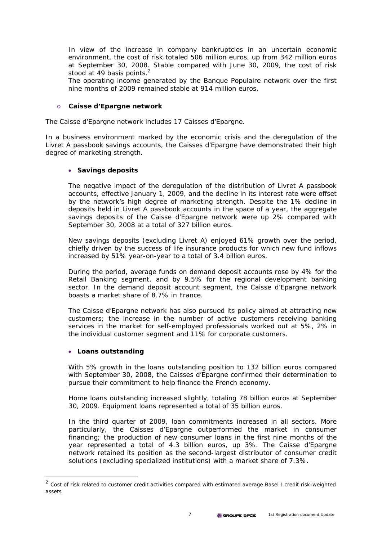In view of the increase in company bankruptcies in an uncertain economic environment, the cost of risk totaled 506 million euros, up from 342 million euros at September 30, 2008. Stable compared with June 30, 2009, the cost of risk stood at 49 basis points.<sup>2</sup>

The operating income generated by the Banque Populaire network over the first nine months of 2009 remained stable at 914 million euros.

## o **Caisse d'Epargne network**

*The Caisse d'Epargne network includes 17 Caisses d'Epargne.* 

In a business environment marked by the economic crisis and the deregulation of the *Livret A* passbook savings accounts, the Caisses d'Epargne have demonstrated their high degree of marketing strength.

## • **Savings deposits**

The negative impact of the deregulation of the distribution of *Livret A* passbook accounts, effective January 1, 2009, and the decline in its interest rate were offset by the network's high degree of marketing strength. Despite the 1% decline in deposits held in *Livret A* passbook accounts in the space of a year, the aggregate savings deposits of the Caisse d'Epargne network were up 2% compared with September 30, 2008 at a total of 327 billion euros.

New savings deposits (excluding *Livret A*) enjoyed 61% growth over the period, chiefly driven by the success of life insurance products for which new fund inflows increased by 51% year-on-year to a total of 3.4 billion euros.

During the period, average funds on demand deposit accounts rose by 4% for the Retail Banking segment, and by 9.5% for the regional development banking sector. In the demand deposit account segment, the Caisse d'Epargne network boasts a market share of 8.7% in France.

The Caisse d'Epargne network has also pursued its policy aimed at attracting new customers; the increase in the number of active customers receiving banking services in the market for self-employed professionals worked out at 5%, 2% in the individual customer segment and 11% for corporate customers.

## • **Loans outstanding**

 $\overline{a}$ 

With 5% growth in the loans outstanding position to 132 billion euros compared with September 30, 2008, the Caisses d'Epargne confirmed their determination to pursue their commitment to help finance the French economy.

Home loans outstanding increased slightly, totaling 78 billion euros at September 30, 2009. Equipment loans represented a total of 35 billion euros.

In the third quarter of 2009, loan commitments increased in all sectors. More particularly, the Caisses d'Epargne outperformed the market in consumer financing; the production of new consumer loans in the first nine months of the year represented a total of 4.3 billion euros, up 3%. The Caisse d'Epargne network retained its position as the second-largest distributor of consumer credit solutions (excluding specialized institutions) with a market share of 7.3%.

 $2$  Cost of risk related to customer credit activities compared with estimated average Basel I credit risk-weighted assets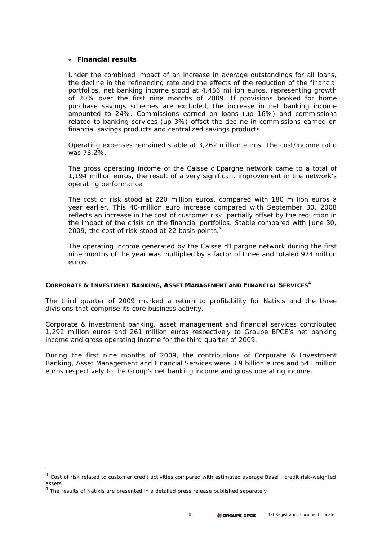## • **Financial results**

Under the combined impact of an increase in average outstandings for all loans, the decline in the refinancing rate and the effects of the reduction of the financial portfolios, net banking income stood at 4,456 million euros, representing growth of 20% over the first nine months of 2009. If provisions booked for home purchase savings schemes are excluded, the increase in net banking income amounted to 24%. Commissions earned on loans (up 16%) and commissions related to banking services (up 3%) offset the decline in commissions earned on financial savings products and centralized savings products.

Operating expenses remained stable at 3,262 million euros. The cost/income ratio was 73.2%.

The gross operating income of the Caisse d'Epargne network came to a total of 1,194 million euros, the result of a very significant improvement in the network's operating performance.

The cost of risk stood at 220 million euros, compared with 180 million euros a year earlier. This 40-million euro increase compared with September 30, 2008 reflects an increase in the cost of customer risk, partially offset by the reduction in the impact of the crisis on the financial portfolios. Stable compared with June 30, 2009, the cost of risk stood at 22 basis points. $3$ 

The operating income generated by the Caisse d'Epargne network during the first nine months of the year was multiplied by a factor of three and totaled 974 million euros.

#### **CORPORATE & INVESTMENT BANKING, ASSET MANAGEMENT AND FINANCIAL SERVICES<sup>4</sup>**

The third quarter of 2009 marked a return to profitability for Natixis and the three divisions that comprise its core business activity.

Corporate & investment banking, asset management and financial services contributed 1,292 million euros and 261 million euros respectively to Groupe BPCE's net banking income and gross operating income for the third quarter of 2009.

During the first nine months of 2009, the contributions of Corporate & Investment Banking, Asset Management and Financial Services were 3.9 billion euros and 541 million euros respectively to the Group's net banking income and gross operating income.

 $\overline{a}$ 

 $3$  Cost of risk related to customer credit activities compared with estimated average Basel I credit risk-weighted assets

<sup>&</sup>lt;sup>4</sup> The results of Natixis are presented in a detailed press release published separately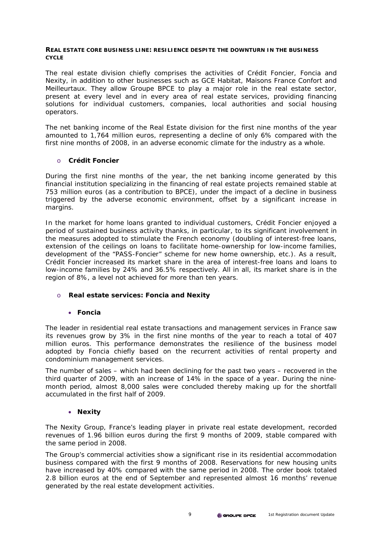## **REAL ESTATE CORE BUSINESS LINE: RESILIENCE DESPITE THE DOWNTURN IN THE BUSINESS CYCLE**

*The real estate division chiefly comprises the activities of Crédit Foncier, Foncia and Nexity, in addition to other businesses such as GCE Habitat, Maisons France Confort and Meilleurtaux. They allow Groupe BPCE to play a major role in the real estate sector, present at every level and in every area of real estate services, providing financing solutions for individual customers, companies, local authorities and social housing operators.* 

The net banking income of the Real Estate division for the first nine months of the year amounted to 1,764 million euros, representing a decline of only 6% compared with the first nine months of 2008, in an adverse economic climate for the industry as a whole.

## o **Crédit Foncier**

During the first nine months of the year, the net banking income generated by this financial institution specializing in the financing of real estate projects remained stable at 753 million euros (as a contribution to BPCE), under the impact of a decline in business triggered by the adverse economic environment, offset by a significant increase in margins.

In the market for home loans granted to individual customers, Crédit Foncier enjoyed a period of sustained business activity thanks, in particular, to its significant involvement in the measures adopted to stimulate the French economy (doubling of interest-free loans, extension of the ceilings on loans to facilitate home-ownership for low-income families, development of the "PASS-Foncier" scheme for new home ownership, etc.). As a result, Crédit Foncier increased its market share in the area of interest-free loans and loans to low-income families by 24% and 36.5% respectively. All in all, its market share is in the region of 8%, a level not achieved for more than ten years.

## o **Real estate services: Foncia and Nexity**

## • **Foncia**

The leader in residential real estate transactions and management services in France saw its revenues grow by 3% in the first nine months of the year to reach a total of 407 million euros. This performance demonstrates the resilience of the business model adopted by Foncia chiefly based on the recurrent activities of rental property and condominium management services.

The number of sales – which had been declining for the past two years – recovered in the third quarter of 2009, with an increase of 14% in the space of a year. During the ninemonth period, almost 8,000 sales were concluded thereby making up for the shortfall accumulated in the first half of 2009.

## • **Nexity**

The Nexity Group, France's leading player in private real estate development, recorded revenues of 1.96 billion euros during the first 9 months of 2009, stable compared with the same period in 2008.

The Group's commercial activities show a significant rise in its residential accommodation business compared with the first 9 months of 2008. Reservations for new housing units have increased by 40% compared with the same period in 2008. The order book totaled 2.8 billion euros at the end of September and represented almost 16 months' revenue generated by the real estate development activities.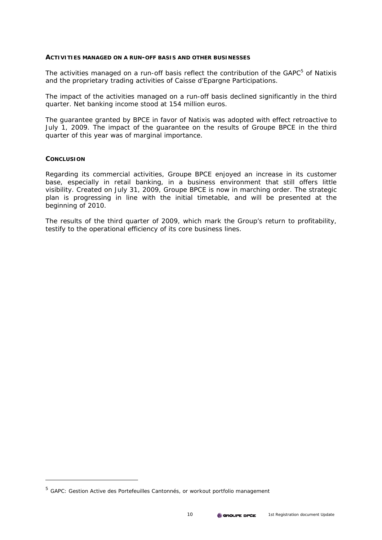#### **ACTIVITIES MANAGED ON A RUN-OFF BASIS AND OTHER BUSINESSES**

The activities managed on a run-off basis reflect the contribution of the GAPC $5$  of Natixis and the proprietary trading activities of Caisse d'Epargne Participations.

The impact of the activities managed on a run-off basis declined significantly in the third quarter. Net banking income stood at 154 million euros.

The guarantee granted by BPCE in favor of Natixis was adopted with effect retroactive to July 1, 2009. The impact of the guarantee on the results of Groupe BPCE in the third quarter of this year was of marginal importance.

## **CONCLUSION**

 $\overline{a}$ 

Regarding its commercial activities, Groupe BPCE enjoyed an increase in its customer base, especially in retail banking, in a business environment that still offers little visibility. Created on July 31, 2009, Groupe BPCE is now in marching order. The strategic plan is progressing in line with the initial timetable, and will be presented at the beginning of 2010.

The results of the third quarter of 2009, which mark the Group's return to profitability, testify to the operational efficiency of its core business lines.

<sup>5</sup> GAPC: *Gestion Active des Portefeuilles Cantonnés*, or workout portfolio management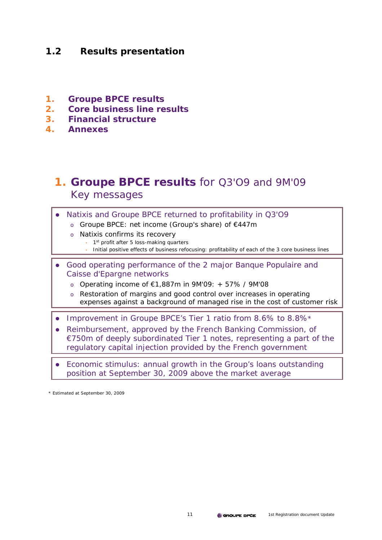# **1.2 Results presentation**

- **1. Groupe BPCE results**
- **2. Core business line results**
- **3. Financial structure**
- **4. Annexes**

# **1. Groupe BPCE results** for Q3'O9 and 9M'09 Key messages

- Natixis and Groupe BPCE returned to profitability in Q3'O9
	- o Groupe BPCE: net income (Group's share) of €447m
	- o Natixis confirms its recovery
		- $\cdot$  1<sup>st</sup> profit after 5 loss-making quarters
			- Initial positive effects of business refocusing: profitability of each of the 3 core business lines
- Good operating performance of the 2 major Banque Populaire and Caisse d'Epargne networks
	- o Operating income of €1,887m in 9M'09: + 57% / 9M'08
	- o Restoration of margins and good control over increases in operating expenses against a background of managed rise in the cost of customer risk
- Improvement in Groupe BPCE's Tier 1 ratio from 8.6% to 8.8%\*
- Reimbursement, approved by the French Banking Commission, of €750m of deeply subordinated Tier 1 notes, representing a part of the regulatory capital injection provided by the French government
- Economic stimulus: annual growth in the Group's loans outstanding position at September 30, 2009 above the market average

\* Estimated at September 30, 2009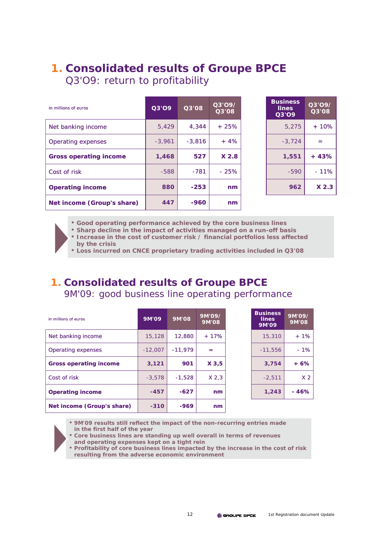# **1. Consolidated results of Groupe BPCE** Q3'O9: return to profitability

| in millions of euros          | Q3'O9    | Q3'08    | Q3'O9/<br>Q3'08 | <b>Business</b><br><b>lines</b><br>Q3'O9 | 03'097<br>Q3'08  |
|-------------------------------|----------|----------|-----------------|------------------------------------------|------------------|
| Net banking income            | 5.429    | 4.344    | $+25%$          | 5,275                                    | $+10%$           |
| Operating expenses            | $-3.961$ | $-3.816$ | $+4%$           | $-3.724$                                 |                  |
| <b>Gross operating income</b> | 1,468    | 527      | X2.8            | 1,551                                    | $+43%$           |
| Cost of risk                  | $-588$   | $-781$   | $-25%$          | $-590$                                   | $-11%$           |
| <b>Operating income</b>       | 880      | $-253$   | nm              | 962                                      | X <sub>2.3</sub> |
| Net income (Group's share)    | 447      | $-960$   | nm              |                                          |                  |

| <b>Business</b><br>lines<br>Q3'O9 | Q3'O9/<br>Q3'08 |
|-----------------------------------|-----------------|
| 5,275                             | $+10%$          |
| $-3.724$                          |                 |
| 1,551                             | $+43%$          |
| $-590$                            | $-11%$          |
| 962                               | $X$ 2.3         |

- **Good operating performance achieved by the core business lines**
- **Sharp decline in the impact of activities managed on a run-off basis**
- **Increase in the cost of customer risk / financial portfolios less affected by the crisis**
- **Loss incurred on CNCE proprietary trading activities included in Q3'08**

# **1. Consolidated results of Groupe BPCE** 9M'09: good business line operating performance

| in millions of euros          | 9M'09     | 9M'08     | 9M'09/<br>9M'08  | <b>Business</b><br><b>lines</b><br>9M'09 | 9M'09/<br>9M'08 |
|-------------------------------|-----------|-----------|------------------|------------------------------------------|-----------------|
| Net banking income            | 15,128    | 12,880    | $+17%$           | 15,310                                   | $+1%$           |
| Operating expenses            | $-12,007$ | $-11.979$ | $=$              | $-11,556$                                | $-1%$           |
| <b>Gross operating income</b> | 3,121     | 901       | X3,5             | 3,754                                    | $+6%$           |
| Cost of risk                  | $-3.578$  | $-1.528$  | X <sub>2,3</sub> | $-2.511$                                 | X <sub>2</sub>  |
| <b>Operating income</b>       | $-457$    | $-627$    | nm               | 1,243                                    | $-46%$          |
| Net income (Group's share)    | $-310$    | $-969$    | nm               |                                          |                 |

| <b>Business</b><br>lines<br>9M'09 | 9M'09/<br>9M'08 |
|-----------------------------------|-----------------|
| 15,310                            | $+1%$           |
| $-11.556$                         | $-1%$           |
| 3,754                             | $+6%$           |
| $-2.511$                          | X <sub>2</sub>  |
| 1,243                             | $-46%$          |

• **9M'09 results still reflect the impact of the non-recurring entries made in the first half of the year**

• **Core business lines are standing up well overall in terms of revenues** 

- **and operating expenses kept on a tight rein**
- **Profitability of core business lines impacted by the increase in the cost of risk resulting from the adverse economic environment**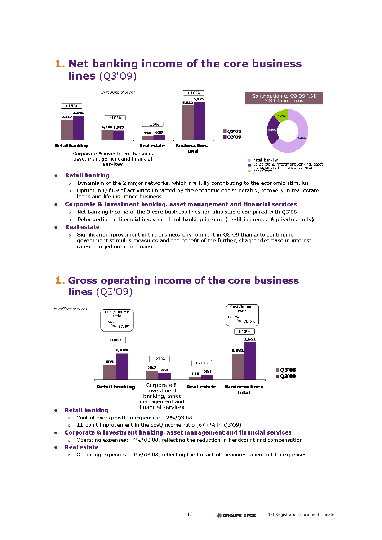

1. Net banking income of the core business

#### **Retail banking** ٠

- Dynamism of the 2 major networks, which are fully contributing to the economic stimulus  $\circ$
- Upturn in Q3'09 of activities impacted by the economic crisis: notably, recovery in real estate loans and life insurance business
- Corporate & investment banking, asset management and financial services
	- Net banking income of the 3 core business lines remains stable compared with Q3'08  $\circ$
	- Deterioration in financial investment net banking income (credit insurance & private equity)  $\bullet$
- **Real estate** 
	- Significant improvement in the business environment in 03'09 thanks to continuing  $\alpha$ government stimulus measures and the benefit of the further, sharper decrease in interest rates charged on home loans

# 1. Gross operating income of the core business lines  $(03'09)$



- **Retail banking** 
	- o Control over growth in expenses:  $+2\% /Q3'08$
	- 11-point improvement in the cost/income ratio (67.4% in Q3'09)  $\alpha$
- Corporate & investment banking, asset management and financial services
- o Operating expenses: -4%/03'08, reflecting the reduction in headcount and compensation
- **Real estate** 
	- o Operating expenses:  $-1\%$ /Q3'08, reflecting the impact of measures taken to trim expenses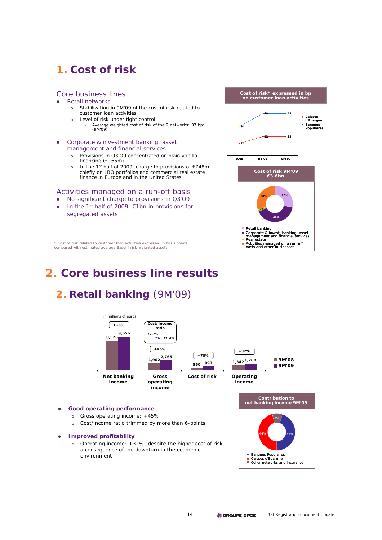# **1. Cost of risk**

## Core business lines

- z Retail networks
	- o Stabilization in 9M'09 of the cost of risk related to customer loan activities
	- o Level of risk under tight control
		- Average weighted cost of risk of the 2 networks: 37 bp\* (9M'09)
- Corporate & investment banking, asset management and financial services
	- o Provisions in Q3'O9 concentrated on plain vanilla financing (€165m)
	- In the 1<sup>st</sup> half of 2009, charge to provisions of €748m chiefly on LBO portfolios and commercial real estate finance in Europe and in the United States

## Activities managed on a run-off basis

- No significant charge to provisions in Q3'O9
- In the 1<sup>st</sup> half of 2009, €1bn in provisions for segregated assets



\* Cost of risk related to customer loan activities expressed in basis points compared with estimated average Basel I risk-weighted assets

# **2. Core business line results**

# **2. Retail banking** (9M'09)



#### **Good operating performance**

- o Gross operating income: +45%
- o Cost/income ratio trimmed by more than 6-points
- **•** Improved profitability
	- o Operating income: +32%, despite the higher cost of risk, a consequence of the downturn in the economic environment

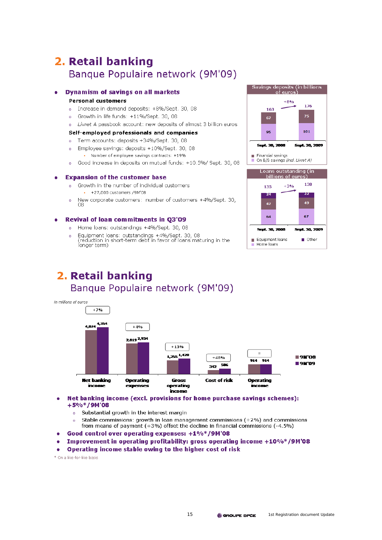# 2. Retail banking Banque Populaire network (9M'09)

## **Dynamism of savings on all markets**

#### **Personal customers**

- Increase in demand deposits: +8%/Sept. 30, 08  $\sim$
- o Growth in life funds: +11%/Sept. 30, 08
- o Livret A passbook account: new deposits of almost 3 billion euros

## Self-employed professionals and companies

- Term accounts: deposits +34%/Sept. 30, 08  $\overline{a}$
- Employee savings: deposits +10%/Sept. 30, 08  $\overline{a}$ Number of employee savings contracts: +19%
- Good increase in deposits on mutual funds: +10.5%/ Sept. 30, 08  $\sim$

#### **Expansion of the customer base**  $\bullet$

- Growth in the number of individual customers  $\alpha$ + +27,000 customers /9M'08
- New corporate customers: number of customers +4%/Sept. 30,  $\overline{a}$ 08

#### **Revival of loan commitments in Q3'09**

- o Home loans: outstandings +4%/Sept. 30, 08
- Equipment loans: outstandings +4%/Sept. 30, 08<br>(reduction in short-term debt in favor of loans maturing in the  $\overline{a}$ longer term)

#### Savings deposits (in billions .<br>Feuros  $+8%$ 176 163 75 67 101 95 **Sept. 30, 2008** Sept. 30, 2009  $\blacksquare$  Financial savings On B/S savings (incl. Livret A) Loans outstanding (in



# 2. Retail banking Banque Populaire network (9M'09)



- Net banking income (excl. provisions for home purchase savings schemes):  $+5\%*(9M'08)$ 
	- Substantial growth in the interest margin  $\overline{a}$
	- Stable commissions: growth in loan management commissions  $(+2%)$  and commissions  $\overline{a}$ from means of payment  $(+3%)$  offset the decline in financial commissions  $(-4.5%)$
- Good control over operating expenses: +1%\*/9M'08
- Improvement in operating profitability: gross operating income +10%\*/9M'08
- Operating income stable owing to the higher cost of risk  $\mathbf{r}$

\* On a like-for-like basis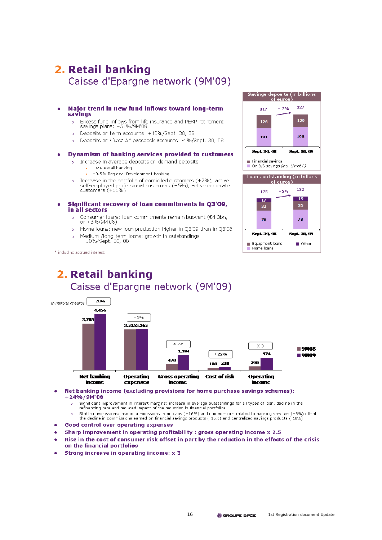# 2. Retail banking Caisse d'Epargne network (9M'09)

#### Major trend in new fund inflows toward long-term savings

- Excess fund inflows from life insurance and PERP retirement  $\sim$ savings plans: +51%/9M'08
- Deposits on term accounts: +40%/Sept. 30, 08  $\overline{a}$
- Deposits on Livret A\* passbook accounts: -1%/Sept. 30, 08  $\overline{a}$

#### **Dynamism of banking services provided to customers**  $\bullet$

- o Increase in average deposits on demand deposits
	- + +4% Retail banking
	- + +9.5% Regional Development banking
- Increase in the portfolio of domiciled customers (+2%), active  $\circ$ self-employed professional customers (+5%), active corporate customers (+11%)

#### Significant recovery of loan commitments in Q3'09, × in all sectors

- Consumer loans: loan commitments remain buoyant (€4.3bn,  $\alpha$ or +3%/9M'08)
- Home loans: new loan production higher in Q3'09 than in Q3'08  $\circ$
- Medium-/long-term loans: growth in outstandings<br>+ 10%/Sept. 30, 08  $\alpha$

Savings deposits (in billions 327  $+2%$ 317 129 126 191 198 **Sept. 30, 08** Sept. 30, 09 Financial savings On B/S savings (incl. Livret A)





\* including accrued interest

# 2. Retail banking Caisse d'Epargne network (9M'09)



#### Net banking income (excluding provisions for home purchase savings schemes):  $+24%/9M'08$

- Significant improvement in interest margins: increase in average outstandings for all types of loan, decline in the  $\circ$ refinancing rate and reduced impact of the reduction in financial portfolios
- Stable commissions: rise in commissions from loans (+16%) and commissions related to banking services (+3%) offset the decline in commissions earned on financial savings products (-15%) and centralized savings products (-10%)
- **Good control over operating expenses**
- Sharp improvement in operating profitability : gross operating income x 2.5
- Rise in the cost of consumer risk offset in part by the reduction in the effects of the crisis on the financial portfolios
- Strong increase in operating income: x 3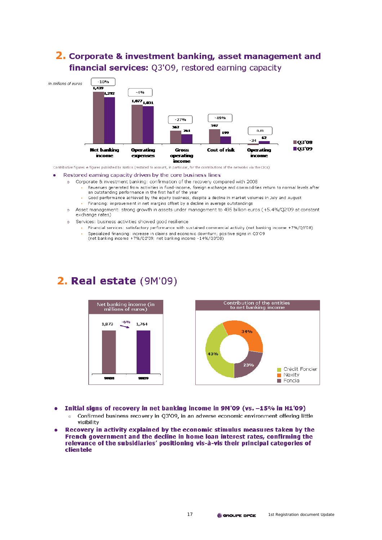

# 2. Corporate & investment banking, asset management and

Contributive figures # figures published by Natixis (restated to account, in particular, for the contributions of the networks via the CICs)

#### Restored earning capacity driven by the core business lines

- Corporate & investment banking: confirmation of the recovery compared with 2008  $\alpha$ 
	- Revenues generated from activities in fixed-income, foreign exchange and commodities return to normal levels after an outstanding performance in the first half of the year
	- Good performance achieved by the equity business, despite a decline in market volumes in July and August
		- . Financing: improvement in net margins offset by a decline in average outstandings
	- Asset management: strong growth in assets under management to 495 billion euros (+5.4%/Q2'09 at constant exchange rates)
- Services: business activities showed good resilience  $\alpha$

 $\alpha$ 

- Financial services: satisfactory performance with sustained commercial activity (net banking income +7%/Q3'08) Specialized financing: increase in claims and economic downturn; positive signs in Q3'09
- (net banking income +7%/Q2'09; net banking income -14%/Q3'08)

# 2. Real estate (9M'09)



- Initial signs of recovery in net banking income in 9M'09 (vs. -15% in H1'09)
	- Confirmed business recovery in Q3'09, in an adverse economic environment offering little  $\overline{a}$ visibility
- Recovery in activity explained by the economic stimulus measures taken by the French government and the decline in home loan interest rates, confirming the relevance of the subsidiaries' positioning vis-à-vis their principal categories of clientele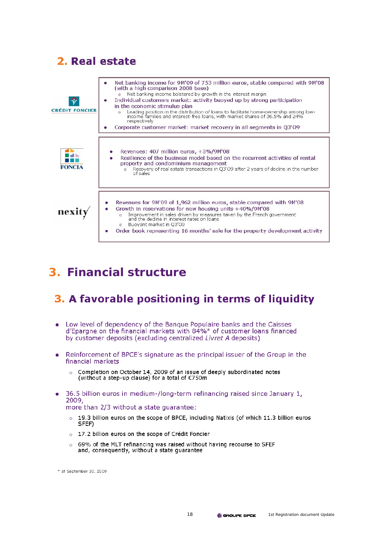# 2. Real estate



# **3. Financial structure**

# 3. A favorable positioning in terms of liquidity

- Low level of dependency of the Bangue Populaire banks and the Caisses d'Epargne on the financial markets with 84%\* of customer loans financed by customer deposits (excluding centralized *Livret A* deposits)
- Reinforcement of BPCE's signature as the principal issuer of the Group in the financial markets
	- Completion on October 14, 2009 of an issue of deeply subordinated notes (without a step-up clause) for a total of €750m
- 36.5 billion euros in medium-/long-term refinancing raised since January 1, 2009,

more than 2/3 without a state quarantee:

- 19.3 billion euros on the scope of BPCE, including Natixis (of which 11.3 billion euros  $\circ$ SFEF)
- o 17.2 billion euros on the scope of Crédit Foncier
- 69% of the MLT refinancing was raised without having recourse to SFEF and, consequently, without a state quarantee

\* at September 30, 2009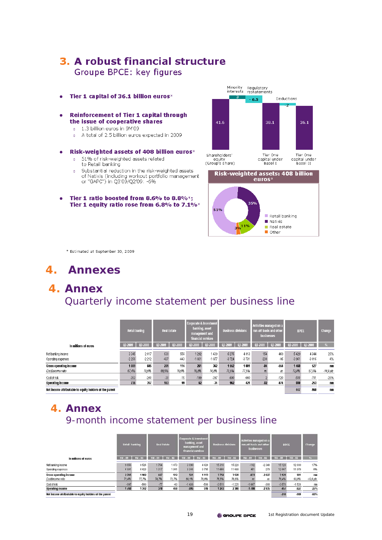# 3. A robust financial structure Groupe BPCE: key figures

- Tier 1 capital of 36.1 billion euros\* ×
- **Reinforcement of Tier 1 capital through** the issue of cooperative shares
	- o 1.3 billion euros in 9M'09
	- o A total of 2.5 billion euros expected in 2009
- Risk-weighted assets of 408 billion euros\* ×
	- 51% of risk-weighted assets related  $\circ$ to Retail banking
	- Substantial reduction in the risk-weighted assets  $\ddot{\circ}$ of Natixis (including workout portfolio management or "GAPC") in Q3'09/Q2'09: -6%
- Tier 1 ratio boosted from 8.6% to 8.8%;  $\bullet$ Tier 1 equity ratio rose from 6.8% to 7.1%\*





\* Estimated at September 30, 2009

# **4. Annexes**

# **4. Annex** Quarterly income statement per business line

|                                                         | <b>Retail baning</b> |                    | <b>Real Estate</b> |               | Corporate & Investment<br>banking, asset<br>management and<br>financial services |                 | <b>Business divisions</b> |                    | Activities managed on a<br>run-off basis and other<br>businesses |                 | <b>BPCE</b>     |                 | Change      |
|---------------------------------------------------------|----------------------|--------------------|--------------------|---------------|----------------------------------------------------------------------------------|-----------------|---------------------------|--------------------|------------------------------------------------------------------|-----------------|-----------------|-----------------|-------------|
| In millions of euros                                    | 03-2009              | 03-2008            | 03-2009            | 03-2008       | 03-2009                                                                          | $  03 - 2003$   | 03-2009                   | 03-2008            | 03-2009                                                          | 03-2008         | 03-2009         | 03-2008         | %           |
| Net banking income<br>Operating expenses                | 3 3 4 5<br>$-2256$   | 2 8 1 7<br>$-2212$ | 638<br>$-437$      | 556<br>$-443$ | 1 2 9 2<br>$-1031$                                                               | 1439<br>$-1077$ | 5275<br>$-3724$           | 4 8 1 3<br>$-3731$ | 154<br>$-238$                                                    | $-469$<br>$-85$ | 5429<br>$-3961$ | 4344<br>$-3816$ | 25%<br>4%   |
| Gross operating income                                  | 1089                 | 605                | 201                | 114           | 261                                                                              | 362             | 1552                      | 1081               | $-34$                                                            | -554            | 1468            | 527             | m           |
| Costincome ratio                                        | 67,4%                | 78,5%              | 68,5%              | 79,5%         | 79,8%                                                                            | 74.8%           | 70,6%                     | 77,5%              | ns                                                               | ns              | 73,0%           | 87,9%           | $-14.9$ pts |
| Cost of risk                                            | $-353$               | $-248$             | $-38$              | $-15$         | $-199$                                                                           | $-397$          | $-590$                    | $-660$             |                                                                  | $-120$          | $-588$          | $-781$          | $-25%$      |
| <b>Operating income</b>                                 | 736                  | 357                | 163                | 99            | 62                                                                               | $-34$           | 962                       | 421                | $-32$                                                            | $-674$          | 880             | $-253$          | mm          |
| Net income attributable to equity holders of the parent |                      |                    |                    |               |                                                                                  |                 |                           |                    |                                                                  |                 | 447             | $-960$          | nm          |

Net income attributable to equity holders of the parent

# **4. Annex** 9-month income statement per business line

|                                                          | <b>Real Estate</b><br>Retail banking |           | Corporate & Investment<br>banking, asset<br>management and<br>financial services |           | <b>Business divisions</b> |           | Activities managed on a<br>run-off basis and other<br>businesses |           | <b>BPCE</b> |           | Change      |             |                   |
|----------------------------------------------------------|--------------------------------------|-----------|----------------------------------------------------------------------------------|-----------|---------------------------|-----------|------------------------------------------------------------------|-----------|-------------|-----------|-------------|-------------|-------------------|
| In millions of euros                                     | $9M - 09$                            | $9H - 03$ | $9M - 09$                                                                        | $9M - 03$ | $9H - 09$                 | $9M - 03$ | $9H - 09$                                                        | $9M - 03$ | $9M - 09$   | $9H - 03$ | 9M-09 9M-08 |             | $\frac{1}{2}$     |
| Net banking income                                       | 9656                                 | 8526      | 1764                                                                             | 1 873     | 3 8 9 0                   | 4 8 2 8   | 15310                                                            | 15 2 28   | $-182$      | $-2348$   | 15128       | 12 8 8 0    | 17%               |
| Operating expenses                                       | $-6891$                              | $-6623$   | $-1317$                                                                          | $-1.361$  | $-3.348$                  | $-3715$   | $-11556$                                                         | $-11699$  | $-451$      | $-279$    | $-12007$    | $-11979$    | 0%                |
| Gross operating income                                   | 2765                                 | 1902      | 447                                                                              | 512       | 541                       | 1 1 1 3   | 3754                                                             | 3528      | $-633$      | $-2627$   | 3 1 21      | 901         | nm                |
| Costilncome ratio                                        | 71.4%                                | 77,7%     | 74,7%                                                                            | 72,7%     | 86,1%                     | 76,9%     | 75,5%                                                            | 76,8%     | ns          | ns        | 79,4%       | 93,0%       | $-13,6$ $\rho$ ts |
| Cost of risk                                             | $-997$                               | $-560$    | $-77$                                                                            | $-63$     | $-1436$                   | $-598$    | $-2511$                                                          | $-1221$   | $-1067$     | $-308$    | $-3578$     | $-1528$     | nn                |
| <b>Uperating income</b>                                  | 1768                                 | 1342      | 370                                                                              | 450       | $-895$                    | 516       | 1243                                                             | 2308      | $-1700$     | $-2935$   | $-45i$      | $-627$      | $-27%$            |
| Net income attributable to equity bolders of the oarent. |                                      |           |                                                                                  |           |                           |           |                                                                  |           |             |           | $-310$      | <b>PRP.</b> | <b>.62%</b>       |

equity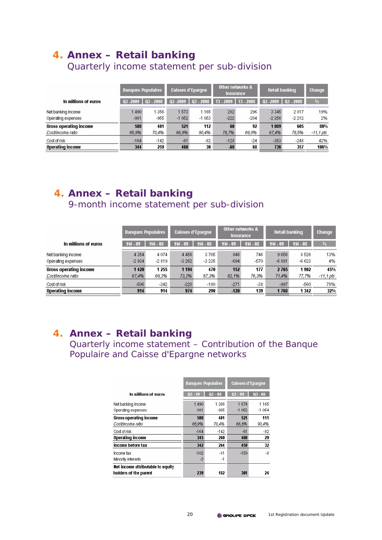# **4. Annex – Retail banking**

Quarterly income statement per sub-division

|                                          | <b>Banques Populaires</b> |                | <b>Caisses d'Epargne</b> |                 | Other networks &<br>Insurance, |               | <b>Retail banking</b> |                    | <b>Change</b> |
|------------------------------------------|---------------------------|----------------|--------------------------|-----------------|--------------------------------|---------------|-----------------------|--------------------|---------------|
| In millions of euros                     | $03 - 2009$               | $03 - 2003$    | $03 - 2009$              | $Q3 - 2008$     | $T3 - 2009$                    | $T3 - 2003$   | $03 - 2009$           | 03 - 2008          | $\frac{1}{2}$ |
| Net banking income<br>Operating expenses | 1490<br>$-981$            | 1356<br>$-955$ | 1573<br>$-1052$          | 1165<br>$-1053$ | 282<br>$-222$                  | 296<br>$-204$ | 3 3 4 5<br>$-2256$    | 2 8 1 7<br>$-2212$ | 19%<br>2%     |
| <b>Gross operating income</b>            | 508                       | 401            | 521                      | 112             | 60                             | 92            | 1039                  | 605                | 80%           |
| Costincome ratio                         | 65,9%                     | 70,4%          | 66,9%                    | 90,4%           | 78,7%                          | 69,0%         | 67,4%                 | 78,5%              | $-11,1$ pts   |
| Cost of risk                             | $-164$                    | $-142$         | $-61$                    | $-82$           | $-128$                         | $-24$         | $-353$                | $-248$             | 42%           |
| Operating income                         | 344                       | 259            | 460                      | 30              | $-63$                          | 68            | 736                   | 357                | 106%          |

# **4. Annex – Retail banking** 9-month income statement per sub-division

|                                          | <b>Banques Populaires</b> |                     | <b>Caisses d'Epargne</b> |                 | Other networks &<br><b>Insurance</b> |               | <b>Retail banking</b> |                 | <b>Change</b> |
|------------------------------------------|---------------------------|---------------------|--------------------------|-----------------|--------------------------------------|---------------|-----------------------|-----------------|---------------|
| In millions of euros                     | $9M - 09$                 | $9M - 03$           | $9M - 09$                | $9M - 03$       | $9M - 09$                            | $9M - 03$     | $9M - 09$             | $9M - 03$       | ₩             |
| Net banking income<br>Operating expenses | 4 3 5 4<br>$-2934$        | 4 0 7 4<br>$-2$ 819 | 4456<br>$-3262$          | 3705<br>$-3235$ | 846<br>$-694$                        | 746<br>$-570$ | 9656<br>$-6891$       | 8526<br>$-6623$ | 13%<br>4%     |
| <b>Gross operating income</b>            | 1420                      | 1 2 5 5             | 1 1 9 4                  | 470             | 152                                  | 177           | 2765                  | 1902            | 45%           |
| Costincome ratio                         | 67.4%                     | 69,2%               | 73,2%                    | 87,3%           | 82,1%                                | 76,3%         | 71,4%                 | 77,7%           | -11,1 pts     |
| Cost of risk                             | $-506$                    | $-342$              | $-220$                   | $-180$          | $-271$                               | $-38$         | $-997$                | -560            | 78%           |
| <b>Operating income</b>                  | 914                       | 914                 | 974                      | 290             | $-120$                               | 139           | 1768                  | 1342            | 32%           |

# **4. Annex – Retail banking**

Quarterly income statement – Contribution of the Banque Populaire and Caisse d'Epargne networks

|                                   | <b>Banques Populaires</b> |           | <b>Caisses d'Epargne</b> |            |  |
|-----------------------------------|---------------------------|-----------|--------------------------|------------|--|
| In millions of euros              | $03 - 09$                 | $03 - 03$ | $03 - 09$                | $03 - 03$  |  |
| Net banking income                | 1490                      | 1356      | 1574                     | 1165       |  |
| Operating expenses                | -981                      | -955      | $-1052$                  | $-1054$    |  |
| Gross operating income            | 508                       | 401       | 521                      | 111        |  |
| Costincome ratio                  | 65.9%                     | 70.4%     | 66,8%                    | 90,4%      |  |
| Cost of risk                      | $-164$                    | $-142$    | -61                      | $-82$      |  |
| <b>Operating income</b>           | 345                       | 260       | 460                      | 29         |  |
| Income before tax                 | 342                       | 264       | 459                      | 32         |  |
| Income tax                        | $-102$                    | -81       | $-159$                   | $-\hat{8}$ |  |
| Minority interests                | -2                        | -1        |                          |            |  |
| Net income attributable to equity |                           |           |                          |            |  |
| holders of the parent             | 239                       | 182       | 301                      | 24         |  |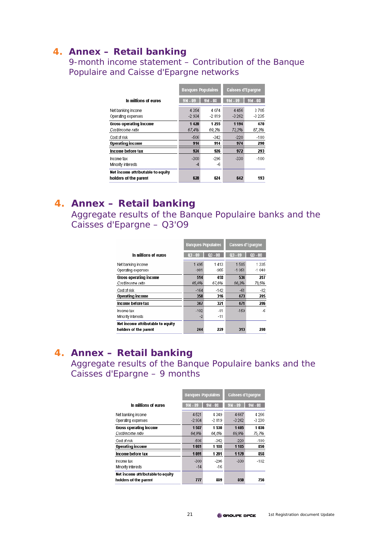# **4. Annex – Retail banking**

9-month income statement – Contribution of the Banque Populaire and Caisse d'Epargne networks

|                                                            | <b>Banques Populaires</b> |            | <b>Caisses d'Eparqne</b> |           |  |
|------------------------------------------------------------|---------------------------|------------|--------------------------|-----------|--|
| In millions of euros                                       | $9M - 09$                 | $9M - 03$  | $9M - 09$                | $9M - 03$ |  |
| Net banking income                                         | 4 3 5 4                   | 4074       | 4456                     | 3705      |  |
| Operating expenses                                         | $-2934$                   | $-2$ $819$ | $-3262$                  | $-3235$   |  |
| <b>Gross operating income</b>                              | 1420                      | 1 2 5 5    | 1 1 9 4                  | 470       |  |
| Cost/income ratio                                          | 67,4%                     | 69,2%      | 73,2%                    | 87,3%     |  |
| Cost of risk                                               | $-506$                    | $-342$     | $-220$                   | $-180$    |  |
| <b>Operating income</b>                                    | 914                       | 914        | 974                      | 290       |  |
| Income before tax                                          | 924                       | 926        | 972                      | 293       |  |
| Income tax                                                 | $-300$                    | $-296$     | $-330$                   | $-100$    |  |
| Minority interests                                         | $-4$                      | -6         |                          |           |  |
| Net income attributable to equity<br>holders of the parent | 620                       | 624        | 642                      | 193       |  |

# **4. Annex – Retail banking**

Aggregate results of the Banque Populaire banks and the Caisses d'Epargne – Q3'O9

|                                                            | <b>Banques Populaires</b> |           | <b>Caisses d'Epargne</b> |           |
|------------------------------------------------------------|---------------------------|-----------|--------------------------|-----------|
| In millions of euros                                       | $03 - 09$                 | $03 - 03$ | $03 - 09$                | $03 - 03$ |
| Net banking income                                         | 1495                      | 1413      | 1585                     | 1335      |
| Operating expenses                                         | $-981$                    | -955      | $-1051$                  | $-1048$   |
| <b>Gross operating income</b>                              | 514                       | 458       | 534                      | 287       |
| Costincome ratio                                           | 65,6%                     | 67.6%     | 66,3%                    | 78,5%     |
| Cost of risk                                               | $-164$                    | $-142$    | $-61$                    | $-82$     |
| <b>Operating income</b>                                    | 350                       | 316       | 473                      | 205       |
| Income before tax                                          | 347                       | 321       | 471                      | 206       |
| Income tax                                                 | $-102$                    | $-81$     | $-159$                   | -6        |
| Minority interests                                         | $-2$                      | $-11$     |                          |           |
| Net income attributable to equity<br>holders of the parent | 244                       | 229       | 313                      | 200       |

# **4. Annex – Retail banking**

Aggregate results of the Banque Populaire banks and the Caisses d'Epargne – 9 months

|                                   | <b>Banques Populaires</b> |           | <b>Caisses d'Epargne</b> |           |
|-----------------------------------|---------------------------|-----------|--------------------------|-----------|
| In millions of euros              | $9M - 09$                 | $9M - 03$ | $9M - 09$                | $9M - 03$ |
| Net banking income                | 4521                      | 4349      | 4 6 6 7                  | 4 2 6 6   |
| Operating expenses                | $-2934$                   | $-2.819$  | $-3262$                  | $-3230$   |
| <b>Gross operating income</b>     | 1537                      | 1530      | 1405                     | 1036      |
| Costlincome ratio                 | 64.9%                     | 64.8%     | 69.9%                    | 75,7%     |
| Cost of risk                      | $-506$                    | $-342$    | $-220$                   | $-180$    |
| <b>Operating income</b>           | 1031                      | 1 1 3 3   | 1 1 3 5                  | 856       |
| Income before tax                 | 1091                      | 1 201     | 1 1 7 9                  | 858       |
| Income tax                        | $-300$                    | $-296$    | $-330$                   | $-102$    |
| Minority interests                | $-14$                     | $-16$     |                          |           |
| Net income attributable to equity |                           |           |                          |           |
| holders of the parent             | 777                       | 889       | 850                      | 756       |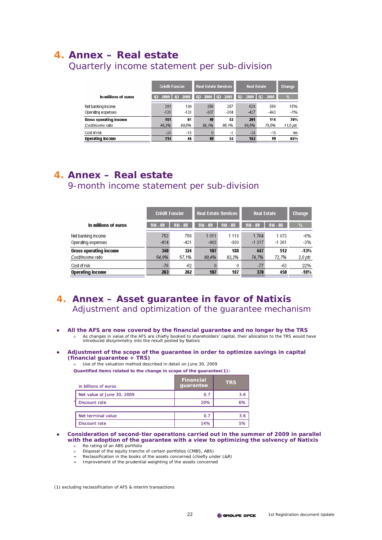# **4. Annex – Real estate**

Crédit Foncier Real Estate Services **Real Estate** Change In millions of euros **All Avenue**  $2*1$ 356 638 15% Net banking income 199 357 556  $-130$  $-138$  $-307$  $-304$  $-437$  $-443$  $-1%$ Operating expenses **Gross operating income**  $\overline{151}$  $\overline{61}$  $\overline{49}$  $\overline{53}$  $\overline{201}$  $\overline{114}$ 76% 79.5% Costincome ratio 46,2% 69.5% 86.1% 85.1% 68,5%  $-11,0$  pts Cost of risk  $-28$  $-15$  $\Delta$  $-1$  $-28$  $-15$  $nm$ **Operating income** 114  $46$ 49  $53$ 163 99 65%

## Quarterly income statement per sub-division

# **4. Annex – Real estate** 9-month income statement per sub-division

|                               | <b>Crédit Foncier</b><br><b>Real Estate Services</b> |           | <b>Real Estate</b> |           | <b>Change</b> |           |         |
|-------------------------------|------------------------------------------------------|-----------|--------------------|-----------|---------------|-----------|---------|
| In millions of euros          | $9M - 09$                                            | $9M - 03$ | $9M - 09$          | $9M - 08$ | $9M - 09$     | $9M - 03$ | V.      |
| Net banking income            | 753                                                  | 756       | 1 0 1 1            | 1 1 1 8   | 1764          | 1873      | -6%     |
| Operating expenses            | $-414$                                               | -431      | $-903$             | -930      | $-1317$       | $-1.361$  | $-3%$   |
| <b>Gross operating income</b> | 340                                                  | 324       | 107                | 133       | 447           | 512       | $-13%$  |
| Costincome ratio              | 54,9%                                                | 57.1%     | 89,4%              | 83,2%     | 74.7%         | 72,7%     | 2,0 pts |
| Cost of risk                  | $-76$                                                | $-62$     | 0                  | 0         | $-77$         | -63       | 22%     |
| <b>Operating income</b>       | 263                                                  | 262       | 107                | 187       | 370           | 450       | $-18%$  |

# **4. Annex – Asset guarantee in favor of Natixis** Adjustment and optimization of the guarantee mechanism

- All the AFS are now covered by the financial guarantee and no longer by the TRS o As changes in value of the AFS are chiefly booked to shareholders' capital, their allocation to the TRS would have introduced dissymmetry into the result posted by Natixis
- z **Adjustment of the scope of the guarantee in order to optimize savings in capital (financial guarantee + TRS)**
	- o Use of the valuation method described in detail on June 30, 2009

**Quantified items related to the change in scope of the guarantee(1):**

| in billions of euros       | <b>Financial</b><br>guarantee | <b>TRS</b> |
|----------------------------|-------------------------------|------------|
| Net value at June 30, 2009 | 0.7                           | 3.6        |
| Discount rate              | 20%                           | 6%         |
|                            |                               |            |
| Net terminal value         | 0.7                           | 3.6        |
| <b>Discount rate</b>       | 14%                           | 5%         |

#### Consideration of second-tier operations carried out in the summer of 2009 in parallel **with the adoption of the guarantee with a view to optimizing the solvency of Natixis** o Re-rating of an ABS portfolio

- o Disposal of the equity tranche of certain portfolios (CMBS, ABS)
- Reclassification in the books of the assets concerned (chiefly under L&R)
- ¬ Improvement of the prudential weighting of the assets concerned

(1) excluding reclassification of AFS & interim transactions

o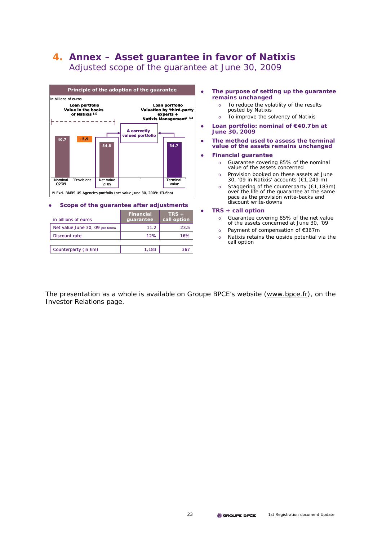# **4. Annex – Asset guarantee in favor of Natixis** Adjusted scope of the guarantee at June 30, 2009



#### **Scope of the guarantee after adjustments**

| in billions of euros            | <b>Financial</b><br>guarantee | $TRS +$<br>call option |
|---------------------------------|-------------------------------|------------------------|
| Net value June 30, 09 pro forma | 11.2                          | 23.5                   |
| Discount rate                   | 12%                           | 16%                    |
|                                 |                               |                        |
| Counterparty (in $\epsilon$ m)  | 1.183                         | 36                     |

- **•** The purpose of setting up the guarantee **remains unchanged**
	- o To reduce the volatility of the results posted by Natixis
	- o To improve the solvency of Natixis
- z **Loan portfolio: nominal of €40.7bn at June 30, 2009**
- **•** The method used to assess the terminal **value of the assets remains unchanged**

#### **•** Financial guarantee

- o Guarantee covering 85% of the nominal value of the assets concerned
- o Provision booked on these assets at June 30, '09 in Natixis' accounts (€1,249 m)
- o Staggering of the counterparty (€1,183m) over the life of the guarantee at the same pace as the provision write-backs and discount write-downs

#### z **TRS + call option**

- o Guarantee covering 85% of the net value of the assets concerned at June 30, '09
- o Payment of compensation of €367m
- o Natixis retains the upside potential via the call option

The presentation as a whole is available on Groupe BPCE's website (www.bpce.fr), on the Investor Relations page.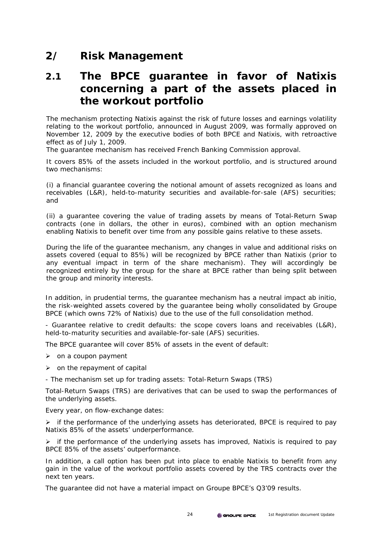# **2/ Risk Management**

# **2.1 The BPCE guarantee in favor of Natixis concerning a part of the assets placed in the workout portfolio**

The mechanism protecting Natixis against the risk of future losses and earnings volatility relating to the workout portfolio, announced in August 2009, was formally approved on November 12, 2009 by the executive bodies of both BPCE and Natixis, with retroactive effect as of July 1, 2009.

The guarantee mechanism has received French Banking Commission approval.

It covers 85% of the assets included in the workout portfolio, and is structured around two mechanisms:

(i) a financial guarantee covering the notional amount of assets recognized as loans and receivables (L&R), held-to-maturity securities and available-for-sale (AFS) securities; and

(ii) a guarantee covering the value of trading assets by means of Total-Return Swap contracts (one in dollars, the other in euros), combined with an option mechanism enabling Natixis to benefit over time from any possible gains relative to these assets.

During the life of the guarantee mechanism, any changes in value and additional risks on assets covered (equal to 85%) will be recognized by BPCE rather than Natixis (prior to any eventual impact in term of the share mechanism). They will accordingly be recognized entirely by the group for the share at BPCE rather than being split between the group and minority interests.

In addition, in prudential terms, the guarantee mechanism has a neutral impact *ab initio*, the risk-weighted assets covered by the guarantee being wholly consolidated by Groupe BPCE (which owns 72% of Natixis) due to the use of the full consolidation method.

- Guarantee relative to credit defaults: the scope covers loans and receivables (L&R), held-to-maturity securities and available-for-sale (AFS) securities.

The BPCE guarantee will cover 85% of assets in the event of default:

- $\triangleright$  on a coupon payment
- $\triangleright$  on the repayment of capital
- The mechanism set up for trading assets: Total-Return Swaps (TRS)

Total-Return Swaps (TRS) are derivatives that can be used to swap the performances of the underlying assets.

Every year, on flow-exchange dates:

 $\triangleright$  if the performance of the underlying assets has deteriorated, BPCE is required to pay Natixis 85% of the assets' underperformance.

 $\triangleright$  if the performance of the underlying assets has improved, Natixis is required to pay BPCE 85% of the assets' outperformance.

In addition, a call option has been put into place to enable Natixis to benefit from any gain in the value of the workout portfolio assets covered by the TRS contracts over the next ten years.

The guarantee did not have a material impact on Groupe BPCE's Q3'09 results.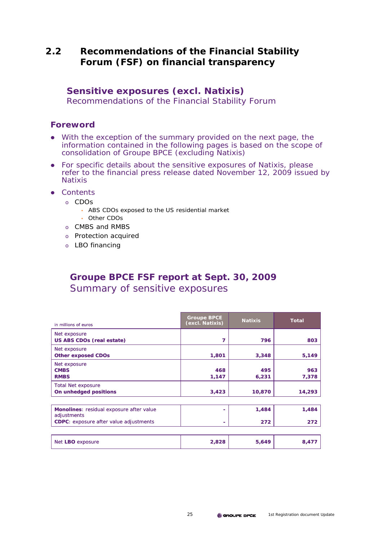# **2.2 Recommendations of the Financial Stability Forum (FSF) on financial transparency**

## **Sensitive exposures (excl. Natixis)**

Recommendations of the Financial Stability Forum

## **Foreword**

- With the exception of the summary provided on the next page, the information contained in the following pages is based on the scope of consolidation of Groupe BPCE (excluding Natixis)
- For specific details about the sensitive exposures of Natixis, please refer to the financial press release dated November 12, 2009 issued by Natixis
- Contents
	- o CDOs
		- ABS CDOs exposed to the US residential market
		- Other CDOs
	- o CMBS and RMBS
	- o Protection acquired
	- o LBO financing

# **Groupe BPCE FSF report at Sept. 30, 2009** Summary of sensitive exposures

| in millions of euros                                    | <b>Groupe BPCE</b><br>(excl. Natixis) | <b>Natixis</b> | <b>Total</b> |
|---------------------------------------------------------|---------------------------------------|----------------|--------------|
| Net exposure<br><b>US ABS CDOs (real estate)</b>        | 7                                     | 796            | 803          |
| Net exposure<br><b>Other exposed CDOs</b>               | 1,801                                 | 3,348          | 5,149        |
| Net exposure<br><b>CMBS</b><br><b>RMBS</b>              | 468<br>1,147                          | 495<br>6,231   | 963<br>7,378 |
| <b>Total Net exposure</b><br>On unhedged positions      | 3,423                                 | 10,870         | 14,293       |
| Monolines: residual exposure after value<br>adjustments |                                       | 1,484          | 1,484        |
| <b>CDPC:</b> exposure after value adjustments           |                                       | 272            | 272          |
| Net LBO exposure                                        | 2,828                                 | 5,649          | 8,477        |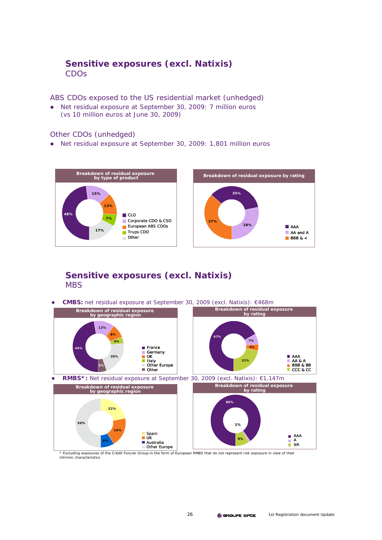# **Sensitive exposures (excl. Natixis)** CDOs

ABS CDOs exposed to the US residential market (unhedged)

• Net residual exposure at September 30, 2009: 7 million euros (vs 10 million euros at June 30, 2009)

## Other CDOs (unhedged)

• Net residual exposure at September 30, 2009: 1,801 million euros



## **Sensitive exposures (excl. Natixis) MBS**

z **CMBS:** net residual exposure at September 30, 2009 (excl. Natixis): €468m



Excluding exposures of the Crédit Foncier Group in the form of European RMBS that do not represent risk exposure in view of their intrinsic characteristics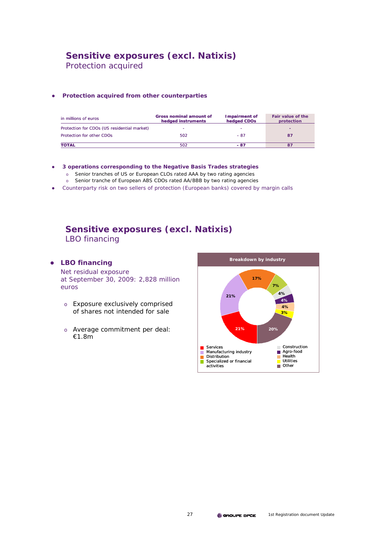# **Sensitive exposures (excl. Natixis)**

Protection acquired

#### **•** Protection acquired from other counterparties

| in millions of euros                        | <b>Gross nominal amount of</b><br>hedged instruments | Impairment of<br>hedged CDOs | Fair value of the<br>protection |
|---------------------------------------------|------------------------------------------------------|------------------------------|---------------------------------|
| Protection for CDOs (US residential market) |                                                      |                              |                                 |
| Protection for other CDOs                   | 502                                                  | $-87$                        | 87                              |
| <b>TOTAL</b>                                | 502                                                  | - 87                         |                                 |

## z **3 operations corresponding to the Negative Basis Trades strategies**

- o Senior tranches of US or European CLOs rated AAA by two rating agencies
- o Senior tranche of European ABS CDOs rated AA/BBB by two rating agencies
- Counterparty risk on two sellers of protection (European banks) covered by margin calls

## **Sensitive exposures (excl. Natixis)** LBO financing

## **•** LBO financing

Net residual exposure at September 30, 2009: 2,828 million euros

- o Exposure exclusively comprised of shares not intended for sale
- o Average commitment per deal: €1.8m

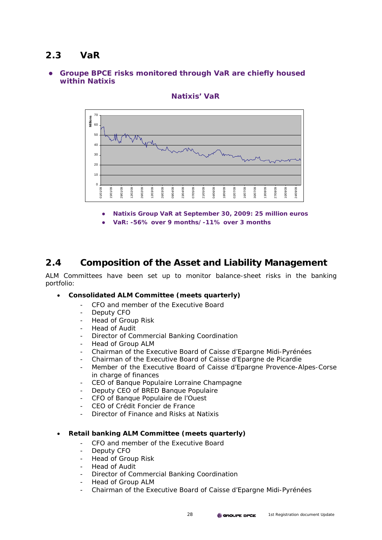# **2.3 VaR**

## z **Groupe BPCE risks monitored through VaR are chiefly housed within Natixis**



## **Natixis' VaR**

- **Natixis Group VaR at September 30, 2009: 25 million euros**
- z **VaR: -56% over 9 months/-11% over 3 months**

# **2.4 Composition of the Asset and Liability Management**

ALM Committees have been set up to monitor balance-sheet risks in the banking portfolio:

## • **Consolidated ALM Committee (meets quarterly)**

- CFO and member of the Executive Board
- Deputy CFO
- Head of Group Risk
- Head of Audit
- Director of Commercial Banking Coordination
- Head of Group ALM
- Chairman of the Executive Board of Caisse d'Epargne Midi-Pyrénées
- Chairman of the Executive Board of Caisse d'Epargne de Picardie
- Member of the Executive Board of Caisse d'Epargne Provence-Alpes-Corse in charge of finances
- CEO of Banque Populaire Lorraine Champagne
- Deputy CEO of BRED Banque Populaire
- CFO of Banque Populaire de l'Ouest
- CEO of Crédit Foncier de France
- Director of Finance and Risks at Natixis

## • **Retail banking ALM Committee (meets quarterly)**

- CFO and member of the Executive Board
- Deputy CFO
- Head of Group Risk
- Head of Audit
- Director of Commercial Banking Coordination
- Head of Group ALM
- Chairman of the Executive Board of Caisse d'Epargne Midi-Pyrénées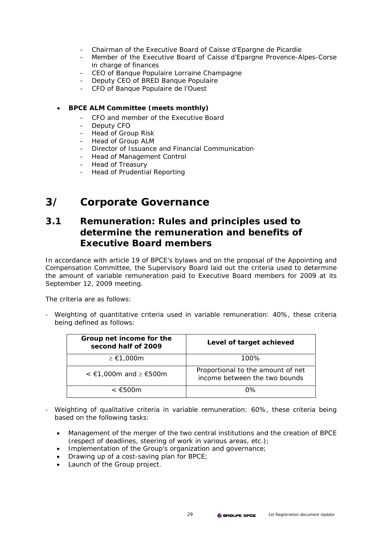- Chairman of the Executive Board of Caisse d'Epargne de Picardie
- Member of the Executive Board of Caisse d'Epargne Provence-Alpes-Corse in charge of finances
- CEO of Banque Populaire Lorraine Champagne
- Deputy CEO of BRED Banque Populaire
- CFO of Banque Populaire de l'Ouest
- **BPCE ALM Committee (meets monthly)** 
	- CFO and member of the Executive Board
	- Deputy CFO
	- Head of Group Risk
	- Head of Group ALM
	- Director of Issuance and Financial Communication
	- Head of Management Control
	- Head of Treasury
	- Head of Prudential Reporting

# **3/ Corporate Governance**

# **3.1 Remuneration: Rules and principles used to determine the remuneration and benefits of Executive Board members**

In accordance with article 19 of BPCE's bylaws and on the proposal of the Appointing and Compensation Committee, the Supervisory Board laid out the criteria used to determine the amount of variable remuneration paid to Executive Board members for 2009 at its September 12, 2009 meeting.

The criteria are as follows:

- Weighting of quantitative criteria used in variable remuneration: 40%, these criteria being defined as follows:

| Group net income for the<br>second half of 2009 | Level of target achieved                                           |
|-------------------------------------------------|--------------------------------------------------------------------|
| $\geq \epsilon$ 1,000m                          | 100%                                                               |
| $\leq$ €1,000m and ≥ €500m                      | Proportional to the amount of net<br>income between the two bounds |
| < €500m                                         | በ%                                                                 |

- Weighting of qualitative criteria in variable remuneration: 60%, these criteria being based on the following tasks:
	- Management of the merger of the two central institutions and the creation of BPCE (respect of deadlines, steering of work in various areas, etc.);
	- Implementation of the Group's organization and governance;
	- Drawing up of a cost-saving plan for BPCE;
	- Launch of the Group project.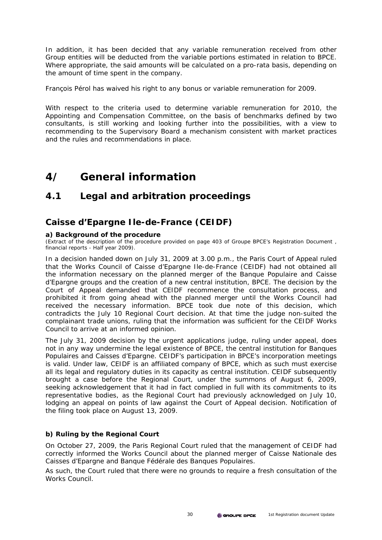In addition, it has been decided that any variable remuneration received from other Group entities will be deducted from the variable portions estimated in relation to BPCE. Where appropriate, the said amounts will be calculated on a pro-rata basis, depending on the amount of time spent in the company.

François Pérol has waived his right to any bonus or variable remuneration for 2009.

With respect to the criteria used to determine variable remuneration for 2010, the Appointing and Compensation Committee, on the basis of benchmarks defined by two consultants, is still working and looking further into the possibilities, with a view to recommending to the Supervisory Board a mechanism consistent with market practices and the rules and recommendations in place.

# **4/ General information**

# **4.1 Legal and arbitration proceedings**

# **Caisse d'Epargne Ile-de-France (CEIDF)**

## **a) Background of the procedure**

(Extract of the description of the procedure provided on page 403 of Groupe BPCE's Registration Document , financial reports - Half year 2009).

In a decision handed down on July 31, 2009 at 3.00 p.m., the Paris Court of Appeal ruled that the Works Council of Caisse d'Epargne Ile-de-France (CEIDF) had not obtained all the information necessary on the planned merger of the Banque Populaire and Caisse d'Epargne groups and the creation of a new central institution, BPCE. The decision by the Court of Appeal demanded that CEIDF recommence the consultation process, and prohibited it from going ahead with the planned merger until the Works Council had received the necessary information. BPCE took due note of this decision, which contradicts the July 10 Regional Court decision. At that time the judge non-suited the complainant trade unions, ruling that the information was sufficient for the CEIDF Works Council to arrive at an informed opinion.

The July 31, 2009 decision by the urgent applications judge, ruling under appeal, does not in any way undermine the legal existence of BPCE, the central institution for Banques Populaires and Caisses d'Epargne. CEIDF's participation in BPCE's incorporation meetings is valid. Under law, CEIDF is an affiliated company of BPCE, which as such must exercise all its legal and regulatory duties in its capacity as central institution. CEIDF subsequently brought a case before the Regional Court, under the summons of August 6, 2009, seeking acknowledgement that it had in fact complied in full with its commitments to its representative bodies, as the Regional Court had previously acknowledged on July 10, lodging an appeal on points of law against the Court of Appeal decision. Notification of the filing took place on August 13, 2009.

## **b) Ruling by the Regional Court**

On October 27, 2009, the Paris Regional Court ruled that the management of CEIDF had correctly informed the Works Council about the planned merger of Caisse Nationale des Caisses d'Epargne and Banque Fédérale des Banques Populaires.

As such, the Court ruled that there were no grounds to require a fresh consultation of the Works Council.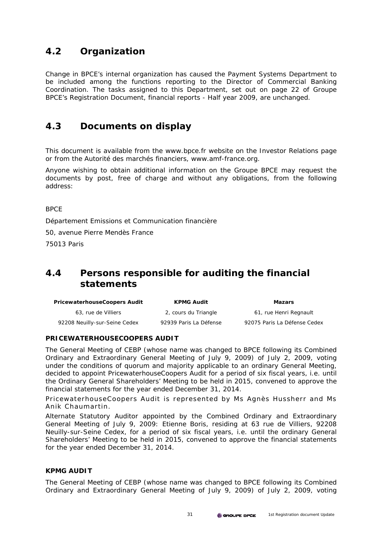# **4.2 Organization**

Change in BPCE's internal organization has caused the Payment Systems Department to be included among the functions reporting to the Director of Commercial Banking Coordination. The tasks assigned to this Department, set out on page 22 of Groupe BPCE's Registration Document, financial reports - Half year 2009, are unchanged.

# **4.3 Documents on display**

This document is available from the www.bpce.fr website on the Investor Relations page or from the *Autorité des marchés financiers*, www.amf-france.org.

Anyone wishing to obtain additional information on the Groupe BPCE may request the documents by post, free of charge and without any obligations, from the following address:

**BPCF** 

Département Emissions et Communication financière

50, avenue Pierre Mendès France

75013 Paris

# **4.4 Persons responsible for auditing the financial statements**

| <b>PricewaterhouseCoopers Audit</b> | <b>KPMG Audit</b>      | Mazars                       |
|-------------------------------------|------------------------|------------------------------|
| 63, rue de Villiers                 | 2, cours du Triangle   | 61, rue Henri Regnault       |
| 92208 Neuilly-sur-Seine Cedex       | 92939 Paris La Défense | 92075 Paris La Défense Cedex |

## **PRICEWATERHOUSECOOPERS AUDIT**

The General Meeting of CEBP (whose name was changed to BPCE following its Combined Ordinary and Extraordinary General Meeting of July 9, 2009) of July 2, 2009, voting under the conditions of quorum and majority applicable to an ordinary General Meeting, decided to appoint PricewaterhouseCoopers Audit for a period of six fiscal years, i.e. until the Ordinary General Shareholders' Meeting to be held in 2015, convened to approve the financial statements for the year ended December 31, 2014.

PricewaterhouseCoopers Audit is represented by Ms Agnès Hussherr and Ms Anik Chaumartin.

Alternate Statutory Auditor appointed by the Combined Ordinary and Extraordinary General Meeting of July 9, 2009: Etienne Boris, residing at 63 rue de Villiers, 92208 Neuilly-sur-Seine Cedex, for a period of six fiscal years, i.e. until the ordinary General Shareholders' Meeting to be held in 2015, convened to approve the financial statements for the year ended December 31, 2014.

## **KPMG AUDIT**

The General Meeting of CEBP (whose name was changed to BPCE following its Combined Ordinary and Extraordinary General Meeting of July 9, 2009) of July 2, 2009, voting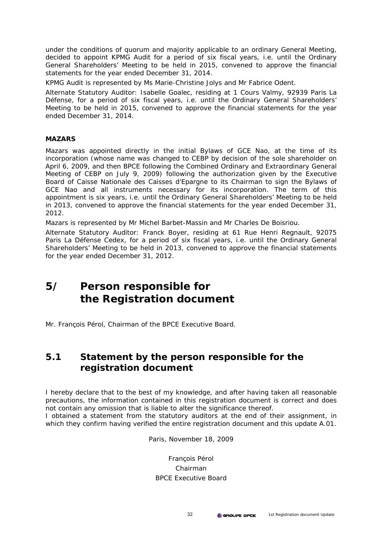under the conditions of quorum and majority applicable to an ordinary General Meeting, decided to appoint KPMG Audit for a period of six fiscal years, i.e. until the Ordinary General Shareholders' Meeting to be held in 2015, convened to approve the financial statements for the year ended December 31, 2014.

KPMG Audit is represented by Ms Marie-Christine Jolys and Mr Fabrice Odent.

Alternate Statutory Auditor: Isabelle Goalec, residing at 1 Cours Valmy, 92939 Paris La Défense, for a period of six fiscal years, i.e. until the Ordinary General Shareholders' Meeting to be held in 2015, convened to approve the financial statements for the year ended December 31, 2014.

## **MAZARS**

Mazars was appointed directly in the initial Bylaws of GCE Nao, at the time of its incorporation (whose name was changed to CEBP by decision of the sole shareholder on April 6, 2009, and then BPCE following the Combined Ordinary and Extraordinary General Meeting of CEBP on July 9, 2009) following the authorization given by the Executive Board of Caisse Nationale des Caisses d'Epargne to its Chairman to sign the Bylaws of GCE Nao and all instruments necessary for its incorporation. The term of this appointment is six years, i.e. until the Ordinary General Shareholders' Meeting to be held in 2013, convened to approve the financial statements for the year ended December 31, 2012.

Mazars is represented by Mr Michel Barbet-Massin and Mr Charles De Boisriou.

Alternate Statutory Auditor: Franck Boyer, residing at 61 Rue Henri Regnault, 92075 Paris La Défense Cedex, for a period of six fiscal years, i.e. until the Ordinary General Shareholders' Meeting to be held in 2013, convened to approve the financial statements for the year ended December 31, 2012.

# **5/ Person responsible for the Registration document**

Mr. François Pérol, Chairman of the BPCE Executive Board.

# **5.1 Statement by the person responsible for the registration document**

I hereby declare that to the best of my knowledge, and after having taken all reasonable precautions, the information contained in this registration document is correct and does not contain any omission that is liable to alter the significance thereof.

I obtained a statement from the statutory auditors at the end of their assignment, in which they confirm having verified the entire registration document and this update A.01.

Paris, November 18, 2009

## François Pérol Chairman BPCE Executive Board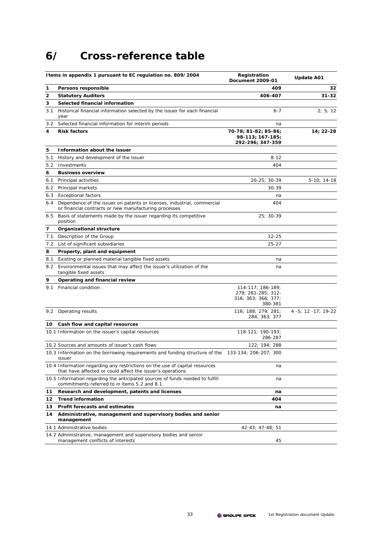# **6/ Cross-reference table**

|     | I tems in appendix 1 pursuant to EC regulation no. 809/2004                                                                               | Registration<br><b>Document 2009-01</b>                                        | <b>Update A01</b>             |
|-----|-------------------------------------------------------------------------------------------------------------------------------------------|--------------------------------------------------------------------------------|-------------------------------|
| 1   | Persons responsible                                                                                                                       | 409                                                                            | 32                            |
| 2   | <b>Statutory Auditors</b>                                                                                                                 | 406-407                                                                        | $31 - 32$                     |
| 3   | Selected financial information                                                                                                            |                                                                                |                               |
| 3.1 | Historical financial information selected by the issuer for each financial<br>year                                                        | 6-7                                                                            | 2; 5; 12                      |
| 3.2 | Selected financial information for interim periods                                                                                        | na                                                                             |                               |
| 4   | <b>Risk factors</b>                                                                                                                       | 70-78; 81-82; 85-86;<br>98-113; 167-185;<br>292-296; 347-359                   | 14; 22-28                     |
| 5   | Information about the issuer                                                                                                              |                                                                                |                               |
| 5.1 | History and development of the issuer                                                                                                     | $8 - 12$                                                                       |                               |
| 5.2 | Investments                                                                                                                               | 404                                                                            |                               |
| 6   | <b>Business overview</b>                                                                                                                  |                                                                                |                               |
| 6.1 | Principal activities                                                                                                                      | 20-25; 30-39                                                                   | $5-10; 14-18$                 |
| 6.2 | Principal markets                                                                                                                         | 30-39                                                                          |                               |
| 6.3 | <b>Exceptional factors</b>                                                                                                                | na                                                                             |                               |
| 6.4 | Dependence of the issuer on patents or licenses, industrial, commercial<br>or financial contracts or new manufacturing processes          | 404                                                                            |                               |
| 6.5 | Basis of statements made by the issuer regarding its competitive<br>position                                                              | 25; 30-39                                                                      |                               |
| 7   | Organizational structure                                                                                                                  |                                                                                |                               |
| 7.1 | Description of the Group                                                                                                                  | 12-25                                                                          |                               |
| 7.2 | List of significant subsidiaries                                                                                                          | $25 - 27$                                                                      |                               |
| 8   | Property, plant and equipment                                                                                                             |                                                                                |                               |
| 8.1 | Existing or planned material tangible fixed assets                                                                                        | na                                                                             |                               |
| 8.2 | Environmental issues that may affect the issuer's utilization of the<br>tangible fixed assets                                             | na                                                                             |                               |
| 9   | Operating and financial review                                                                                                            |                                                                                |                               |
| 9.1 | Financial condition                                                                                                                       | $114 - 117$ ; 186-189;<br>279; 281-285; 312-<br>316; 363; 366; 377;<br>380-381 |                               |
|     | 9.2 Operating results                                                                                                                     | 116; 188; 279; 281;<br>284; 363; 377                                           | $4 - 5$ ; 12 $-17$ ; 19 $-22$ |
| 10  | Cash flow and capital resources                                                                                                           |                                                                                |                               |
|     | 10.1 Information on the issuer's capital resources                                                                                        | 118-121; 190-193;<br>286-287                                                   |                               |
|     | 10.2 Sources and amounts of issuer's cash flows                                                                                           | 122; 194; 288                                                                  |                               |
|     | 10.3 Information on the borrowing requirements and funding structure of the 133-134; 206-207; 300<br><b>issuer</b>                        |                                                                                |                               |
|     | 10.4 Information regarding any restrictions on the use of capital resources<br>that have affected or could affect the issuer's operations | na                                                                             |                               |
|     | 10.5 Information regarding the anticipated sources of funds needed to fulfill<br>commitments referred to in items 5.2 and 8.1             | na                                                                             |                               |
| 11  | Research and development, patents and licenses                                                                                            | na                                                                             |                               |
| 12  | <b>Trend information</b>                                                                                                                  | 404                                                                            |                               |
| 13  | Profit forecasts and estimates                                                                                                            | na                                                                             |                               |
| 14  | Administrative, management and supervisory bodies and senior<br>management                                                                |                                                                                |                               |
|     | 14.1 Administrative bodies                                                                                                                | 42-43; 47-48; 51                                                               |                               |
|     | 14.2 Administrative, management and supervisory bodies and senior<br>management conflicts of interests                                    | 45                                                                             |                               |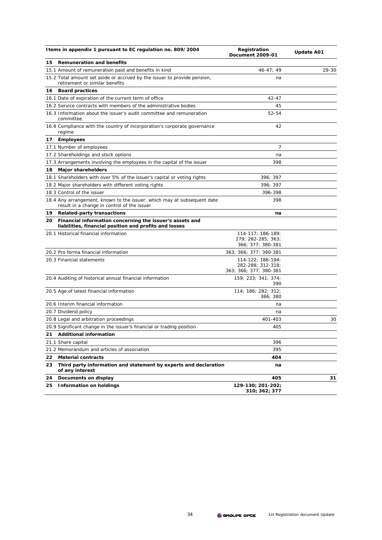|     | I tems in appendix 1 pursuant to EC regulation no. 809/2004                                                            | Registration<br><b>Document 2009-01</b>                          | <b>Update A01</b> |
|-----|------------------------------------------------------------------------------------------------------------------------|------------------------------------------------------------------|-------------------|
| 15  | <b>Remuneration and benefits</b>                                                                                       |                                                                  |                   |
|     | 15.1 Amount of remuneration paid and benefits in kind                                                                  | $46 - 47$ ; 49                                                   | 29-30             |
|     | 15.2 Total amount set aside or accrued by the issuer to provide pension,<br>retirement or similar benefits             | na                                                               |                   |
| 16. | <b>Board practices</b>                                                                                                 |                                                                  |                   |
|     | 16.1 Date of expiration of the current term of office                                                                  | 42-47                                                            |                   |
|     | 16.2 Service contracts with members of the administrative bodies                                                       | 45                                                               |                   |
|     | 16.3 Information about the issuer's audit committee and remuneration<br>committee                                      | 52-54                                                            |                   |
|     | 16.4 Compliance with the country of incorporation's corporate governance<br>regime                                     | 42                                                               |                   |
| 17  | <b>Employees</b>                                                                                                       |                                                                  |                   |
|     | 17.1 Number of employees                                                                                               | 7                                                                |                   |
|     | 17.2 Shareholdings and stock options                                                                                   | na                                                               |                   |
|     | 17.3 Arrangements involving the employees in the capital of the issuer                                                 | 398                                                              |                   |
| 18  | <b>Major shareholders</b>                                                                                              |                                                                  |                   |
|     | 18.1 Shareholders with over 5% of the issuer's capital or voting rights                                                | 396; 397                                                         |                   |
|     | 18.2 Major shareholders with different voting rights                                                                   | 396; 397                                                         |                   |
|     | 18.3 Control of the issuer                                                                                             | 396-398                                                          |                   |
|     | 18.4 Any arrangement, known to the issuer, which may at subsequent date<br>result in a change in control of the issuer | 398                                                              |                   |
| 19  | <b>Related-party transactions</b>                                                                                      | na                                                               |                   |
| 20  | Financial information concerning the issuer's assets and<br>liabilities, financial position and profits and losses     |                                                                  |                   |
|     | 20.1 Historical financial information                                                                                  | 114-117; 186-189;<br>279; 282-285; 363;<br>366; 377; 380-381     |                   |
|     | 20.2 Pro forma financial information                                                                                   | 363; 366; 377; 380-381                                           |                   |
|     | 20.3 Financial statements                                                                                              | 114-122; 186-194;<br>282-288; 312-318;<br>363; 366; 377; 380-381 |                   |
|     | 20.4 Auditing of historical annual financial information                                                               | 159; 233; 341; 374;<br>390                                       |                   |
|     | 20.5 Age of latest financial information                                                                               | 114; 186; 282; 312;<br>366; 380                                  |                   |
|     | 20.6 Interim financial information                                                                                     | na                                                               |                   |
|     | 20.7 Dividend policy                                                                                                   | na                                                               |                   |
|     | 20.8 Legal and arbitration proceedings                                                                                 | 401-403                                                          | 30                |
|     | 20.9 Significant change in the issuer's financial or trading position                                                  | 405                                                              |                   |
|     | 21 Additional information                                                                                              |                                                                  |                   |
|     | 21.1 Share capital                                                                                                     | 396                                                              |                   |
|     | 21.2 Memorandum and articles of association                                                                            | 395                                                              |                   |
| 22  | <b>Material contracts</b>                                                                                              | 404                                                              |                   |
| 23  | Third party information and statement by experts and declaration<br>of any interest                                    | na                                                               |                   |
| 24  | Documents on display                                                                                                   | 405                                                              | 31                |
| 25  | <b>Information on holdings</b>                                                                                         | 129-130; 201-202;<br>310; 362; 377                               |                   |